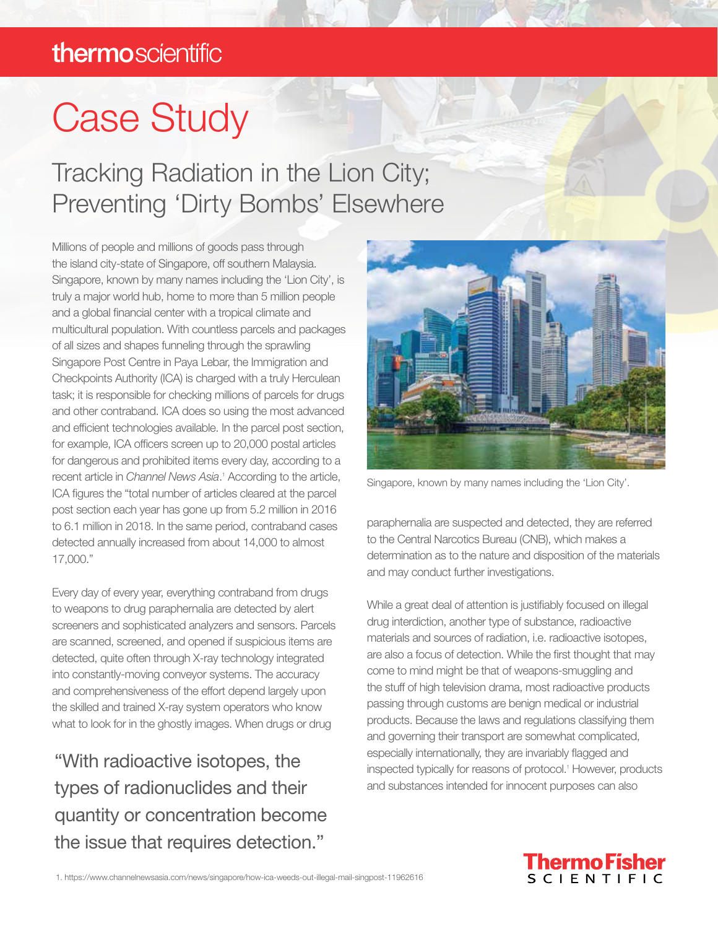# Case Study

### Tracking Radiation in the Lion City; Preventing 'Dirty Bombs' Elsewhere

Millions of people and millions of goods pass through the island city-state of Singapore, off southern Malaysia. Singapore, known by many names including the 'Lion City', is truly a major world hub, home to more than 5 million people and a global financial center with a tropical climate and multicultural population. With countless parcels and packages of all sizes and shapes funneling through the sprawling Singapore Post Centre in Paya Lebar, the Immigration and Checkpoints Authority (ICA) is charged with a truly Herculean task; it is responsible for checking millions of parcels for drugs and other contraband. ICA does so using the most advanced and efficient technologies available. In the parcel post section, for example, ICA officers screen up to 20,000 postal articles for dangerous and prohibited items every day, according to a recent article in *Channel News Asia*.<sup>1</sup> According to the article, ICA figures the "total number of articles cleared at the parcel post section each year has gone up from 5.2 million in 2016 to 6.1 million in 2018. In the same period, contraband cases detected annually increased from about 14,000 to almost 17,000."

Every day of every year, everything contraband from drugs to weapons to drug paraphernalia are detected by alert screeners and sophisticated analyzers and sensors. Parcels are scanned, screened, and opened if suspicious items are detected, quite often through X-ray technology integrated into constantly-moving conveyor systems. The accuracy and comprehensiveness of the effort depend largely upon the skilled and trained X-ray system operators who know what to look for in the ghostly images. When drugs or drug

"With radioactive isotopes, the types of radionuclides and their quantity or concentration become the issue that requires detection."



Singapore, known by many names including the 'Lion City'.

paraphernalia are suspected and detected, they are referred to the Central Narcotics Bureau (CNB), which makes a determination as to the nature and disposition of the materials and may conduct further investigations.

While a great deal of attention is justifiably focused on illegal drug interdiction, another type of substance, radioactive materials and sources of radiation, i.e. radioactive isotopes, are also a focus of detection. While the first thought that may come to mind might be that of weapons-smuggling and the stuff of high television drama, most radioactive products passing through customs are benign medical or industrial products. Because the laws and regulations classifying them and governing their transport are somewhat complicated, especially internationally, they are invariably flagged and inspected typically for reasons of protocol.<sup>1</sup> However, products and substances intended for innocent purposes can also

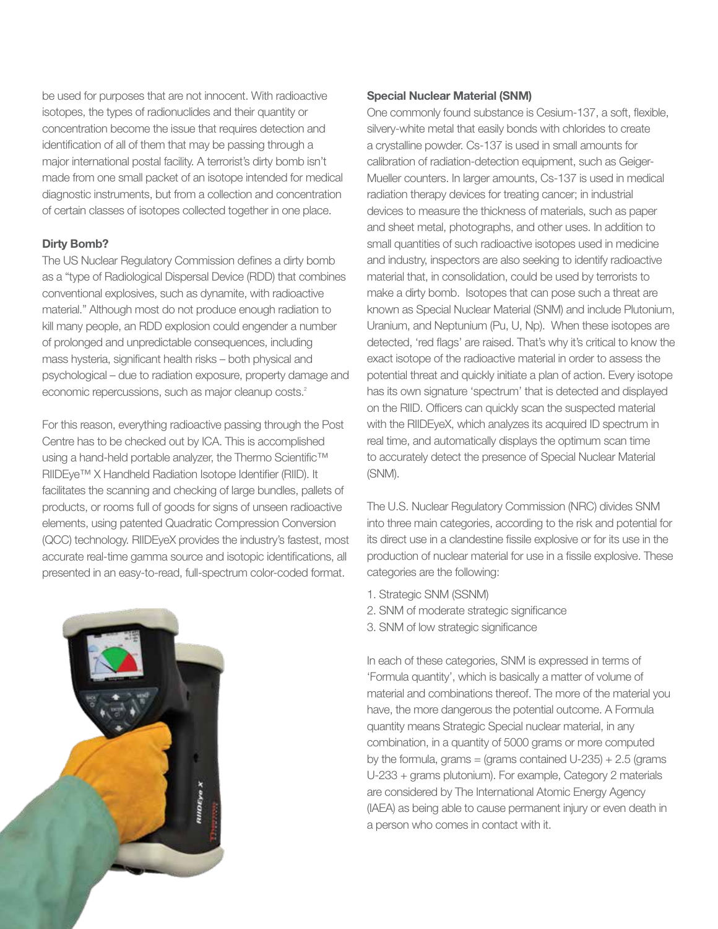be used for purposes that are not innocent. With radioactive isotopes, the types of radionuclides and their quantity or concentration become the issue that requires detection and identification of all of them that may be passing through a major international postal facility. A terrorist's dirty bomb isn't made from one small packet of an isotope intended for medical diagnostic instruments, but from a collection and concentration of certain classes of isotopes collected together in one place.

#### Dirty Bomb?

The US Nuclear Regulatory Commission defines a dirty bomb as a "type of Radiological Dispersal Device (RDD) that combines conventional explosives, such as dynamite, with radioactive material." Although most do not produce enough radiation to kill many people, an RDD explosion could engender a number of prolonged and unpredictable consequences, including mass hysteria, significant health risks – both physical and psychological – due to radiation exposure, property damage and economic repercussions, such as major cleanup costs.<sup>2</sup>

For this reason, everything radioactive passing through the Post Centre has to be checked out by ICA. This is accomplished using a hand-held portable analyzer, the Thermo Scientific™ RIIDEye™ X Handheld Radiation Isotope Identifier (RIID). It facilitates the scanning and checking of large bundles, pallets of products, or rooms full of goods for signs of unseen radioactive elements, using patented Quadratic Compression Conversion (QCC) technology. RIIDEyeX provides the industry's fastest, most accurate real-time gamma source and isotopic identifications, all presented in an easy-to-read, full-spectrum color-coded format.



#### Special Nuclear Material (SNM)

One commonly found substance is Cesium-137, a soft, flexible, silvery-white metal that easily bonds with chlorides to create a crystalline powder. Cs-137 is used in small amounts for calibration of radiation-detection equipment, such as Geiger-Mueller counters. In larger amounts, Cs-137 is used in medical radiation therapy devices for treating cancer; in industrial devices to measure the thickness of materials, such as paper and sheet metal, photographs, and other uses. In addition to small quantities of such radioactive isotopes used in medicine and industry, inspectors are also seeking to identify radioactive material that, in consolidation, could be used by terrorists to make a dirty bomb. Isotopes that can pose such a threat are known as Special Nuclear Material (SNM) and include Plutonium, Uranium, and Neptunium (Pu, U, Np). When these isotopes are detected, 'red flags' are raised. That's why it's critical to know the exact isotope of the radioactive material in order to assess the potential threat and quickly initiate a plan of action. Every isotope has its own signature 'spectrum' that is detected and displayed on the RIID. Officers can quickly scan the suspected material with the RIIDEyeX, which analyzes its acquired ID spectrum in real time, and automatically displays the optimum scan time to accurately detect the presence of Special Nuclear Material (SNM).

The U.S. Nuclear Regulatory Commission (NRC) divides SNM into three main categories, according to the risk and potential for its direct use in a clandestine fissile explosive or for its use in the production of nuclear material for use in a fissile explosive. These categories are the following:

- 1. Strategic SNM (SSNM)
- 2. SNM of moderate strategic significance
- 3. SNM of low strategic significance

In each of these categories, SNM is expressed in terms of 'Formula quantity', which is basically a matter of volume of material and combinations thereof. The more of the material you have, the more dangerous the potential outcome. A Formula quantity means Strategic Special nuclear material, in any combination, in a quantity of 5000 grams or more computed by the formula, grams = (grams contained  $U-235$ ) + 2.5 (grams U-233 + grams plutonium). For example, Category 2 materials are considered by The International Atomic Energy Agency (IAEA) as being able to cause permanent injury or even death in a person who comes in contact with it.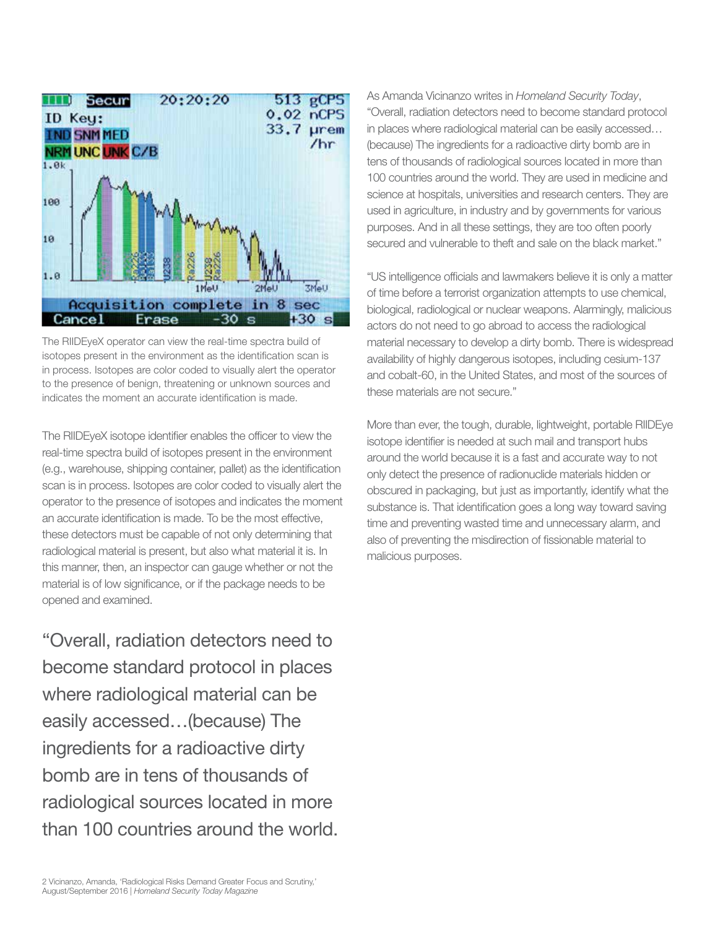

The RIIDEyeX operator can view the real-time spectra build of isotopes present in the environment as the identification scan is in process. Isotopes are color coded to visually alert the operator to the presence of benign, threatening or unknown sources and indicates the moment an accurate identification is made.

The RIIDEyeX isotope identifier enables the officer to view the real-time spectra build of isotopes present in the environment (e.g., warehouse, shipping container, pallet) as the identification scan is in process. Isotopes are color coded to visually alert the operator to the presence of isotopes and indicates the moment an accurate identification is made. To be the most effective, these detectors must be capable of not only determining that radiological material is present, but also what material it is. In this manner, then, an inspector can gauge whether or not the material is of low significance, or if the package needs to be opened and examined.

"Overall, radiation detectors need to become standard protocol in places where radiological material can be easily accessed…(because) The ingredients for a radioactive dirty bomb are in tens of thousands of radiological sources located in more than 100 countries around the world. As Amanda Vicinanzo writes in *Homeland Security Today*, "Overall, radiation detectors need to become standard protocol in places where radiological material can be easily accessed… (because) The ingredients for a radioactive dirty bomb are in tens of thousands of radiological sources located in more than 100 countries around the world. They are used in medicine and science at hospitals, universities and research centers. They are used in agriculture, in industry and by governments for various purposes. And in all these settings, they are too often poorly secured and vulnerable to theft and sale on the black market."

"US intelligence officials and lawmakers believe it is only a matter of time before a terrorist organization attempts to use chemical, biological, radiological or nuclear weapons. Alarmingly, malicious actors do not need to go abroad to access the radiological material necessary to develop a dirty bomb. There is widespread availability of highly dangerous isotopes, including cesium-137 and cobalt-60, in the United States, and most of the sources of these materials are not secure."

More than ever, the tough, durable, lightweight, portable RIIDEye isotope identifier is needed at such mail and transport hubs around the world because it is a fast and accurate way to not only detect the presence of radionuclide materials hidden or obscured in packaging, but just as importantly, identify what the substance is. That identification goes a long way toward saving time and preventing wasted time and unnecessary alarm, and also of preventing the misdirection of fissionable material to malicious purposes.